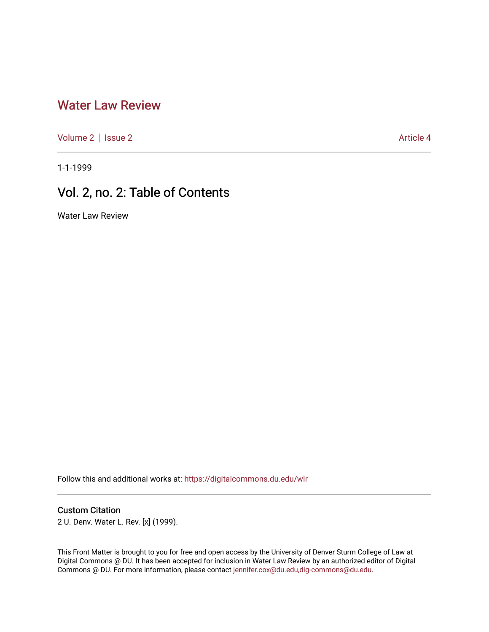## [Water Law Review](https://digitalcommons.du.edu/wlr)

[Volume 2](https://digitalcommons.du.edu/wlr/vol2) | [Issue 2](https://digitalcommons.du.edu/wlr/vol2/iss2) Article 4

1-1-1999

## Vol. 2, no. 2: Table of Contents

Water Law Review

Follow this and additional works at: [https://digitalcommons.du.edu/wlr](https://digitalcommons.du.edu/wlr?utm_source=digitalcommons.du.edu%2Fwlr%2Fvol2%2Fiss2%2F4&utm_medium=PDF&utm_campaign=PDFCoverPages) 

#### Custom Citation

2 U. Denv. Water L. Rev. [x] (1999).

This Front Matter is brought to you for free and open access by the University of Denver Sturm College of Law at Digital Commons @ DU. It has been accepted for inclusion in Water Law Review by an authorized editor of Digital Commons @ DU. For more information, please contact [jennifer.cox@du.edu,dig-commons@du.edu.](mailto:jennifer.cox@du.edu,dig-commons@du.edu)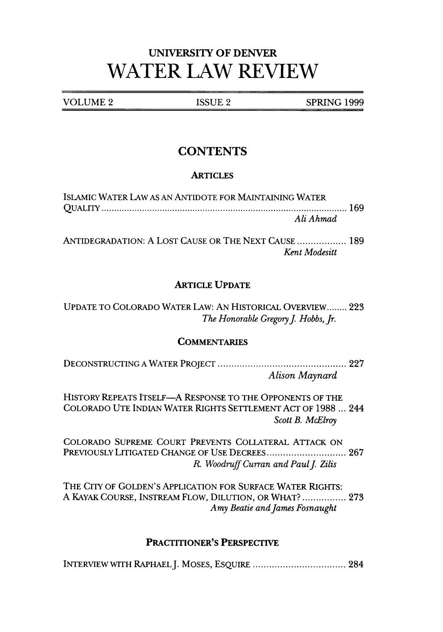# UNIVERSITY OF DENVER **WATER LAW REVIEW**

VOLUME 2 ISSUE 2 SPRING 1999

### **CONTENTS**

#### **ARTICLES**

| ISLAMIC WATER LAW AS AN ANTIDOTE FOR MAINTAINING WATER |  |
|--------------------------------------------------------|--|
|                                                        |  |
| Ali Ahmad                                              |  |

ANTIDEGRADATION: A LOST CAUSE OR THE NEXT CAUSE .................. 189 *Kent Modesitt*

#### ARTICLE **UPDATE**

UPDATE TO COLORADO WATER LAW: AN HISTORICAL OVERVIEW **........** 223 *The Honorable Gregory J. Hobbs, Jr.* 

#### **COMMENTARIES**

DECONSTRUCTING A WATER PROJECT ............................................... 227 *Alison Maynard*

HISTORY REPEATS ITSELF-A RESPONSE TO THE OPPONENTS OF THE COLORADO UTE INDIAN WATER RIGHTS SETTLEMENT ACT OF 1988 ... 244 *Scott B. McElroy*

COLORADO SUPREME COURT PREVENTS COLLATERAL ATTACK ON PREVIOUSLY LITIGATED CHANGE OF USE DECREES................................. 267 *R. Woodruff Curran and Paul J. Zilis* 

THE CITY OF GOLDEN'S APPLICATION FOR SURFACE WATER RIGHTS: A KAYAK COURSE, INSTREAM FLOW, DILUTION, OR WHAT? ................ 273 *Amy Beatie and James Fosnaught*

#### PRACTITIONER'S PERSPECTIVE

INTERVIEW WITH RAPHAEL J. MOSES, ESQUIRE .................................. 284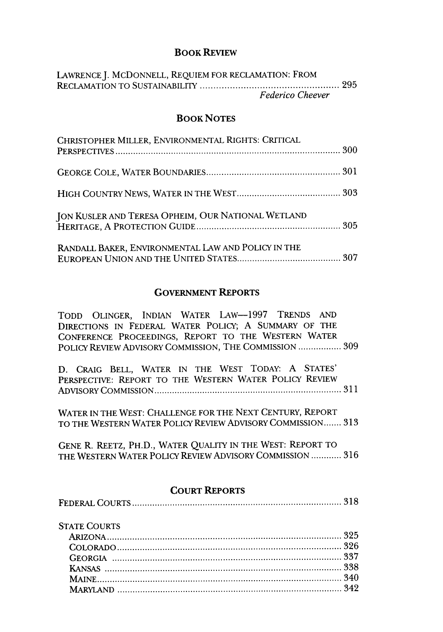#### **BOOK REVIEW**

| LAWRENCE J. MCDONNELL, REQUIEM FOR RECLAMATION: FROM |  |
|------------------------------------------------------|--|
|                                                      |  |
| <b>Federico Cheever</b>                              |  |

#### BOOK **NOTES**

| CHRISTOPHER MILLER, ENVIRONMENTAL RIGHTS: CRITICAL |  |
|----------------------------------------------------|--|
|                                                    |  |
|                                                    |  |
| JON KUSLER AND TERESA OPHEIM, OUR NATIONAL WETLAND |  |
| RANDALL BAKER, ENVIRONMENTAL LAW AND POLICY IN THE |  |

#### **GOVERNMENT** REPORTS

| TODD OLINGER, INDIAN WATER LAW-1997 TRENDS AND         |  |  |  |
|--------------------------------------------------------|--|--|--|
| DIRECTIONS IN FEDERAL WATER POLICY; A SUMMARY OF THE   |  |  |  |
| CONFERENCE PROCEEDINGS, REPORT TO THE WESTERN WATER    |  |  |  |
| POLICY REVIEW ADVISORY COMMISSION, THE COMMISSION  309 |  |  |  |

|  |  |  |  | D. CRAIG BELL, WATER IN THE WEST TODAY: A STATES'      |  |
|--|--|--|--|--------------------------------------------------------|--|
|  |  |  |  | PERSPECTIVE: REPORT TO THE WESTERN WATER POLICY REVIEW |  |
|  |  |  |  |                                                        |  |

WATER IN THE WEST: CHALLENGE FOR THE NEXT CENTURY, REPORT TO THE WESTERN WATER POLICY REVIEW ADVISORY COMMISSION **.......** 313

GENE R. REETZ, PH.D., WATER QUALITY IN THE WEST: REPORT TO THE WESTERN WATER POLICY REVIEW ADVISORY COMMISSION ............ 316

#### **COURT REPORTS**

#### **STATE COURTS**